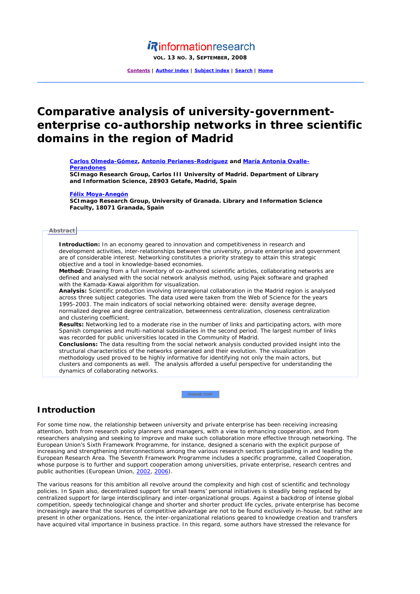# *i*Rinformationresearch

**VOL. 13 NO. 3, SEPTEMBER, 2008**

**Contents | Author index | Subject index | Search | Home**

# **Comparative analysis of university-governmententerprise co-authorship networks in three scientific domains in the region of Madrid**

**Carlos Olmeda-Gómez, Antonio Perianes-Rodríguez and María Antonia Ovalle-Perandones**

**SCImago Research Group, Carlos III University of Madrid. Department of Library and Information Science, 28903 Getafe, Madrid, Spain** 

## **Félix Moya-Anegón**

**SCImago Research Group, University of Granada. Library and Information Science Faculty, 18071 Granada, Spain** 

### **Abstract**

**Introduction:** In an economy geared to innovation and competitiveness in research and development activities, inter-relationships between the university, private enterprise and government are of considerable interest. Networking constitutes a priority strategy to attain this strategic objective and a tool in knowledge-based economies.

**Method:** Drawing from a full inventory of co-authored scientific articles, collaborating networks are defined and analysed with the social network analysis method, using Pajek software and graphed with the Kamada-Kawai algorithm for visualization.

**Analysis:** Scientific production involving intraregional collaboration in the Madrid region is analysed across three subject categories. The data used were taken from the *Web of Science* for the years 1995-2003. The main indicators of social networking obtained were: density average degree, normalized degree and degree centralization, betweenness centralization, closeness centralization and clustering coefficient.

**Results:** Networking led to a moderate rise in the number of links and participating actors, with more Spanish companies and multi-national subsidiaries in the second period. The largest number of links was recorded for public universities located in the Community of Madrid.

**Conclusions:** The data resulting from the social network analysis conducted provided insight into the structural characteristics of the networks generated and their evolution. The visualization methodology used proved to be highly informative for identifying not only the main actors, but clusters and components as well. The analysis afforded a useful perspective for understanding the dynamics of collaborating networks.

CHANGE FONT

# **Introduction**

For some time now, the relationship between university and private enterprise has been receiving increasing attention, both from research policy planners and managers, with a view to enhancing cooperation, and from researchers analysing and seeking to improve and make such collaboration more effective through networking. The European Union's Sixth Framework Programme, for instance, designed a scenario with the explicit purpose of increasing and strengthening interconnections among the various research sectors participating in and leading the European Research Area. The Seventh Framework Programme includes a specific programme, called Cooperation, whose purpose is to further and support cooperation among universities, private enterprise, research centres and public authorities (European Union, 2002, 2006).

The various reasons for this ambition all revolve around the complexity and high cost of scientific and technology policies. In Spain also, decentralized support for small teams' personal initiatives is steadily being replaced by centralized support for large interdisciplinary and inter-organizational groups. Against a backdrop of intense global competition, speedy technological change and shorter and shorter product life cycles, private enterprise has become increasingly aware that the sources of competitive advantage are not to be found exclusively in-house, but rather are present in other organizations. Hence, the inter-organizational relations geared to knowledge creation and transfers have acquired vital importance in business practice. In this regard, some authors have stressed the relevance for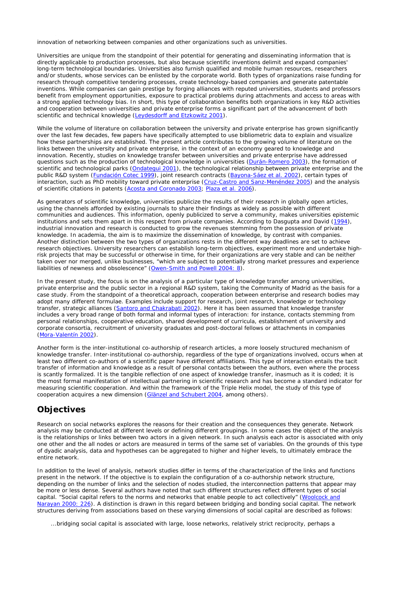innovation of networking between companies and other organizations such as universities.

Universities are unique from the standpoint of their potential for generating and disseminating information that is directly applicable to production processes, but also because scientific inventions delimit and expand companies' long-term technological boundaries. Universities also furnish qualified and mobile human resources, researchers and/or students, whose services can be enlisted by the corporate world. Both types of organizations raise funding for research through competitive tendering processes, create technology-based companies and generate patentable inventions. While companies can gain prestige by forging alliances with reputed universities, students and professors benefit from employment opportunities, exposure to practical problems during attachments and access to areas with a strong applied technology bias. In short, this type of collaboration benefits both organizations in key R&D activities and cooperation between universities and private enterprise forms a significant part of the advancement of both scientific and technical knowledge (Leydesdorff and Etzkowitz 2001).

While the volume of literature on collaboration between the university and private enterprise has grown significantly over the last few decades, few papers have specifically attempted to use bibliometric data to explain and visualize how these partnerships are established. The present article contributes to the growing volume of literature on the links between the university and private enterprise, in the context of an economy geared to knowledge and innovation. Recently, studies on knowledge transfer between universities and private enterprise have addressed questions such as the production of technological knowledge in universities (Durán-Romero 2003), the formation of scientific and technological parks (Ondategui 2001), the technological relationship between private enterprise and the public R&D system (Fundación Cotec 1999), joint research contracts (Bayona-Sáez *et al.* 2002), certain types of interaction, such as PhD mobility toward private enterprise (Cruz-Castro and Sanz-Menéndez 2005) and the analysis of scientific citations in patents (Acosta and Coronado 2003; Plaza *et al.* 2006).

As generators of scientific knowledge, universities publicize the results of their research in globally open articles, using the channels afforded by existing journals to share their findings as widely as possible with different communities and audiences. This information, openly publicized to serve a community, makes universities epistemic institutions and sets them apart in this respect from private companies. According to Dasgupta and David (1994), industrial innovation and research is conducted to grow the revenues stemming from the possession of private knowledge. In academia, the aim is to maximize the dissemination of knowledge, by contrast with companies. Another distinction between the two types of organizations rests in the different way deadlines are set to achieve research objectives. University researchers can establish long-term objectives, experiment more and undertake highrisk projects that may be successful or otherwise in time, for their organizations are very stable and can be neither taken over nor merged, unlike businesses, "which are subject to potentially strong market pressures and experience liabilities of newness and obsolescence" (Owen-Smith and Powell 2004: 8).

In the present study, the focus is on the analysis of a particular type of knowledge transfer among universities, private enterprise and the public sector in a regional R&D system, taking the Community of Madrid as the basis for a case study. From the standpoint of a theoretical approach, cooperation between enterprise and research bodies may adopt many different formulae. Examples include support for research, joint research, knowledge or technology transfer, strategic alliances (Santoro and Chakrabati 2002). Here it has been assumed that knowledge transfer includes a very broad range of both formal and informal types of interaction: for instance, contacts stemming from personal relationships, cooperative education, shared development of curricula, establishment of university and corporate consortia, recruitment of university graduates and post-doctoral fellows or attachments in companies (Mora-Valentín 2002).

Another form is the inter-institutional co-authorship of research articles, a more loosely structured mechanism of knowledge transfer. Inter-institutional co-authorship, regardless of the type of organizations involved, occurs when at least two different co-authors of a scientific paper have different affiliations. This type of interaction entails the tacit transfer of information and knowledge as a result of personal contacts between the authors, even where the process is scantly formalized. It is the tangible reflection of one aspect of knowledge transfer, inasmuch as it is coded; it is the most formal manifestation of intellectual partnering in scientific research and has become a standard indicator for measuring scientific cooperation. And within the framework of the Triple Helix model, the study of this type of cooperation acquires a new dimension (Glänzel and Schubert 2004, among others).

# **Objectives**

Research on social networks explores the reasons for their creation and the consequences they generate. Network analysis may be conducted at different levels or defining different groupings. In some cases the object of the analysis is the relationships or links between two actors in a given network. In such analysis each actor is associated with only one other and the all nodes or actors are measured in terms of the same set of variables. On the grounds of this type of dyadic analysis, data and hypotheses can be aggregated to higher and higher levels, to ultimately embrace the entire network.

In addition to the level of analysis, network studies differ in terms of the characterization of the links and functions present in the network. If the objective is to explain the configuration of a co-authorship network structure, depending on the number of links and the selection of nodes studied, the interconnection patterns that appear may be more or less dense. Several authors have noted that such different structures reflect different types of social capital. "Social capital refers to the norms and networks that enable people to act collectively" (Woolcock and Narayan 2000: 226). A distinction is drawn in this regard between *bridging* and *bonding* social capital. The network structures deriving from associations based on these varying dimensions of social capital are described as follows:

...bridging social capital is associated with large, loose networks, relatively strict reciprocity, perhaps a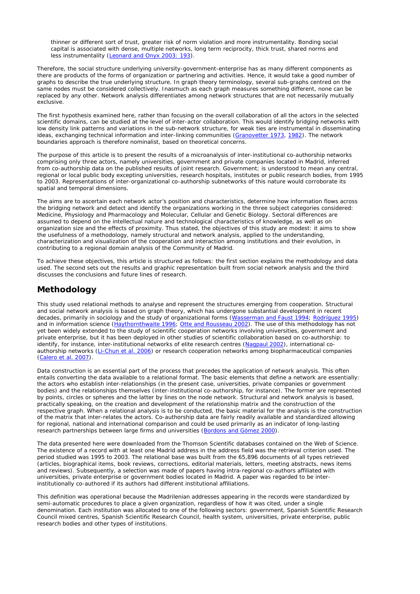thinner or different sort of trust, greater risk of norm violation and more instrumentality. Bonding social capital is associated with dense, multiple networks, long term reciprocity, thick trust, shared norms and less instrumentality (Leonard and Onyx 2003: 193).

Therefore, the social structure underlying university-government-enterprise has as many different components as there are products of the forms of organization or partnering and activities. Hence, it would take a good number of graphs to describe the *true* underlying structure. In graph theory terminology, several sub-graphs centred on the same nodes must be considered collectively. Inasmuch as each graph measures something different, none can be replaced by any other. Network analysis differentiates among network structures that are not necessarily mutually exclusive.

The first hypothesis examined here, rather than focusing on the overall collaboration of *all* the actors in the selected scientific domains, can be studied at the *level of inter-actor* collaboration. This would identify *bridging networks* with low density link patterns and variations in the sub-network structure, for weak ties are instrumental in disseminating ideas, exchanging technical information and inter-linking communities (Granovetter 1973, 1982). The network boundaries approach is therefore nominalist, based on theoretical concerns.

The purpose of this article is to present the results of a microanalysis of inter-institutional co-authorship networks comprising only three actors, namely universities, government and private companies located in Madrid, inferred from co-authorship data on the published results of joint research. *Government*; is understood to mean any central, regional or local public body excepting universities, research hospitals, institutes or public research bodies, from 1995 to 2003. Representations of inter-organizational co-authorship subnetworks of this nature would corroborate its spatial and temporal dimensions.

The aims are to ascertain each network actor's position and characteristics, determine how information flows across the bridging network and detect and identify the organizations working in the three subject categories considered: Medicine, Physiology and Pharmacology and Molecular, Cellular and Genetic Biology. Sectoral differences are assumed to depend on the intellectual nature and technological characteristics of knowledge, as well as on organization size and the effects of proximity. Thus stated, the objectives of this study are modest: it aims to show the usefulness of a methodology, namely structural and network analysis, applied to the understanding, characterization and visualization of the cooperation and interaction among institutions and their evolution, in contributing to a regional domain analysis of the Community of Madrid.

To achieve these objectives, this article is structured as follows: the first section explains the methodology and data used. The second sets out the results and graphic representation built from social network analysis and the third discusses the conclusions and future lines of research.

# **Methodology**

This study used relational methods to analyse and represent the structures emerging from cooperation. Structural and social network analysis is based on graph theory, which has undergone substantial development in recent decades, primarily in sociology and the study of organizational forms (Wasserman and Faust 1994; Rodríguez 1995) and in information science (Haythornthwaite 1996; Otte and Rousseau 2002). The use of this methodology has not yet been widely extended to the study of scientific cooperation networks involving universities, government and private enterprise, but it has been deployed in other studies of scientific collaboration based on co-authorship: to identify, for instance, inter-institutional networks of elite research centres (Nagpaul 2002), international coauthorship networks (Li-Chun *et al.* 2006) or research cooperation networks among biopharmaceutical companies (Calero *et al.* 2007).

Data construction is an essential part of the process that precedes the application of network analysis. This often entails converting the data available to a relational format. The basic elements that define a network are essentially: the actors who establish inter-relationships (in the present case, universities, private companies or government bodies) and the relationships themselves (inter-institutional co-authorship, for instance). The former are represented by points, circles or spheres and the latter by lines on the node network. Structural and network analysis is based, practically speaking, on the creation and development of the relationship matrix and the construction of the respective graph. When a relational analysis is to be conducted, the basic material for the analysis is the construction of the matrix that inter-relates the actors. Co-authorship data are fairly readily available and standardized allowing for regional, national and international comparison and could be used primarily as an indicator of long-lasting research partnerships between large firms and universities (Bordons and Gómez 2000).

The data presented here were downloaded from the Thomson Scientific databases contained on the *Web of Science*. The existence of a record with at least one Madrid address in the address field was the retrieval criterion used. The period studied was 1995 to 2003. The relational base was built from the 65,896 documents of all types retrieved (articles, biographical items, book reviews, corrections, editorial materials, letters, meeting abstracts, news items and reviews). Subsequently, a selection was made of papers having intra-regional co-authors affiliated with universities, private enterprise or government bodies located in Madrid. A paper was regarded to be interinstitutionally co-authored if its authors had different institutional affiliations.

This definition was operational because the Madrilenian addresses appearing in the records were standardized by semi-automatic procedures to place a given organization, regardless of how it was cited, under a single denomination. Each institution was allocated to one of the following sectors: government, Spanish Scientific Research Council mixed centres, Spanish Scientific Research Council, health system, universities, private enterprise, public research bodies and other types of institutions.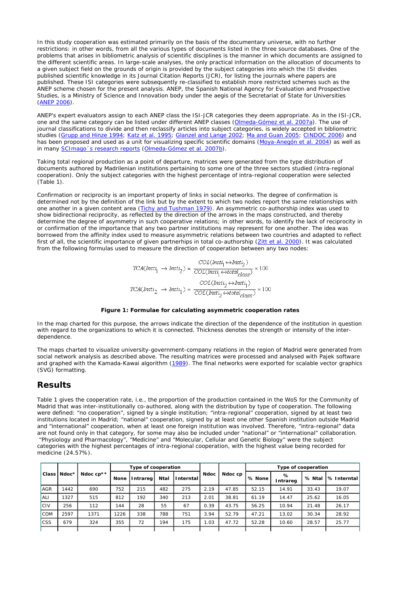In this study cooperation was estimated primarily on the basis of the documentary universe, with no further restrictions: in other words, from all the various types of documents listed in the three source databases. One of the problems that arises in bibliometric analysis of scientific disciplines is the manner in which documents are assigned to the different scientific areas. In large-scale analyses, the only practical information on the allocation of documents to a given subject field on the grounds of origin is provided by the subject categories into which the ISI divides published scientific knowledge in its *Journal Citation Reports* (JCR), for listing the journals where papers are published. These ISI categories were subsequently re-classified to establish more restricted schemes such as the ANEP scheme chosen for the present analysis. ANEP, the Spanish National Agency for Evaluation and Prospective Studies, is a Ministry of Science and Innovation body under the aegis of the Secretariat of State for Universities (ANEP 2006).

ANEP's expert evaluators assign to each ANEP class the ISI-JCR categories they deem appropriate. As in the ISI-JCR, one and the same category can be listed under different ANEP classes (Olmeda-Gómez *et al.* 2007a). The use of journal classifications to divide and then reclassify articles into subject categories, is widely accepted in bibliometric studies (Grupp and Hinze 1994; Katz *et al.* 1995; Glanzel and Lange 2002; Ma and Guan 2005; CINDOC 2006) and has been proposed and used as a unit for visualizing specific scientific domains (Moya-Anegón *et al.* 2004) as well as in many SCImago´s research reports (Olmeda-Gómez *et al.* 2007b).

Taking total regional production as a point of departure, matrices were generated from the type distribution of documents authored by Madrilenian institutions pertaining to some one of the three sectors studied (intra-regional cooperation). Only the subject categories with the highest percentage of intra-regional cooperation were selected (Table 1).

*Confirmation* or *reciprocity* is an important property of links in social networks. The degree of confirmation is determined not by the definition of the link but by the extent to which two nodes report the same relationships with one another in a given content area (Tichy and Tushman 1979). An asymmetric co-authorship index was used to show bidirectional reciprocity, as reflected by the direction of the arrows in the maps constructed, and thereby determine the degree of asymmetry in such cooperative relations; in other words, to identify the lack of reciprocity in or confirmation of the importance that any two partner institutions may represent for one another. The idea was borrowed from the affinity index used to measure asymmetric relations between two countries and adapted to reflect first of all, the scientific importance of given partnerhips in total co-authorship (Zitt *et al.* 2000). It was calculated from the following formulas used to measure the direction of cooperation between any two nodes:

$$
TCA(Msti_1 \rightarrow Insti_2) = \frac{COL(nsti_1 \leftrightarrow Insti_2)}{COL(Msti_1 \leftrightarrow total_{class})} \times 100
$$
  

$$
TCA(Msti_2 \rightarrow Insti_1) = \frac{COL(Msti_2 \leftrightarrow Insti_1)}{COL(Msti_2 \leftrightarrow total_{class})} \times 100
$$

### **Figure 1: Formulae for calculating asymmetric cooperation rates**

In the map charted for this purpose, the arrows indicate the direction of the dependence of the institution in question with regard to the organizations to which it is connected. Thickness denotes the strength or intensity of the interdependence.

The maps charted to visualize university-government-company relations in the region of Madrid were generated from social network analysis as described above. The resulting matrices were processed and analysed with Pajek software and graphed with the Kamada-Kawai algorithm (1989). The final networks were exported for scalable vector graphics (SVG) formatting.

# **Results**

Table 1 gives the cooperation rate, i.e., the proportion of the production contained in the WoS for the Community of Madrid that was inter-institutionally co-authored, along with the distribution by type of cooperation. The following were defined: "no cooperation", signed by a single institution; "intra-regional" cooperation, signed by at least two institutions located in Madrid; "national" cooperation, signed by at least one other Spanish institution outside Madrid and "international" cooperation, when at least one foreign institution was involved. Therefore, "intra-regional" data are not found only in that category, for some may also be included under "national" or "international" collaboration. "Physiology and Pharmacology", "Medicine" and "Molecular, Cellular and Genetic Biology" were the subject categories with the highest percentages of intra-regional cooperation, with the highest value being recorded for medicine (24.57%).

|             |       |             |             | Type of cooperation |      |                  |             |         | Type of cooperation |               |        |             |  |
|-------------|-------|-------------|-------------|---------------------|------|------------------|-------------|---------|---------------------|---------------|--------|-------------|--|
| Class I     | Ndoc* | Ndoc $cp**$ | <b>None</b> | Intrareg            | Ntal | <b>Interntal</b> | <b>Ndoc</b> | Ndoc cp | % None !            | ℅<br>Intrareg | % Ntal | % Interntal |  |
| <b>AGR</b>  | 1442  | 690         | 752         | 215                 | 482  | 275              | 2.19        | 47.85   | 52.15               | 14.91         | 33.43  | 19.07       |  |
| <b>ALI</b>  | 327   | 515         | 812         | 192                 | 340  | 213              | 2.01        | 38.81   | 61.19               | 14.47         | 25.62  | 16.05       |  |
| <b>ICIV</b> | 256   | 112         | 144         | 28                  | 55   | 67               | 0.39        | 43.75   | 56.25               | 10.94         | 21.48  | 26.17       |  |
| <b>ICOM</b> | 2597  | 1371        | 1226        | 338                 | 788  | 751              | 3.94        | 52.79   | 47.21               | 13.02         | 30.34  | 28.92       |  |
| <b>ICSS</b> | 679   | 324         | 355         | 72                  | 194  | 175              | .03         | 47.72   | 52.28               | 10.60         | 28.57  | 25.77       |  |
|             |       |             |             |                     |      |                  |             |         |                     |               |        |             |  |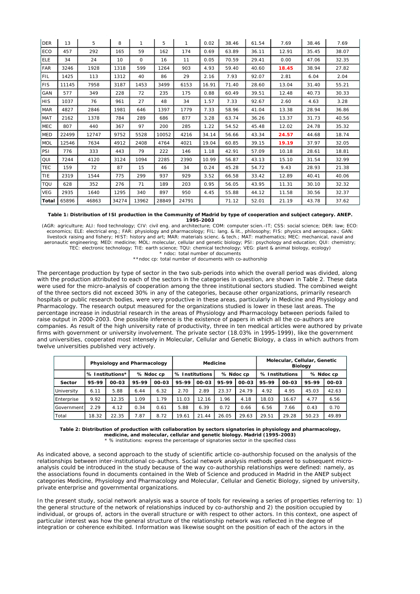| <b>DER</b> | 13    | 5     | 8               | 1        | 5     | 1     | 0.02  | 38.46 | 61.54 | 7.69  | 38.46 | 7.69  |
|------------|-------|-------|-----------------|----------|-------|-------|-------|-------|-------|-------|-------|-------|
| ECO        | 457   | 292   | 165             | 59       | 162   | 174   | 0.69  | 63.89 | 36.11 | 12.91 | 35.45 | 38.07 |
| ELE        | 34    | 24    | 10 <sup>1</sup> | $\Omega$ | 16    | 11    | 0.05  | 70.59 | 29.41 | 0.00  | 47.06 | 32.35 |
| FAR        | 3246  | 1928  | 1318            | 599      | 1264  | 903   | 4.93  | 59.40 | 40.60 | 18.45 | 38.94 | 27.82 |
| <b>FIL</b> | 1425  | 113   | 1312            | 40       | 86    | 29    | 2.16  | 7.93  | 92.07 | 2.81  | 6.04  | 2.04  |
| <b>FIS</b> | 11145 | 7958  | 3187            | 1453     | 3499  | 6153  | 16.91 | 71.40 | 28.60 | 13.04 | 31.40 | 55.21 |
| GAN        | 577   | 349   | 228             | 72       | 235   | 175   | 0.88  | 60.49 | 39.51 | 12.48 | 40.73 | 30.33 |
| lhis       | 1037  | 76    | 961             | 27       | 48    | 34    | 1.57  | 7.33  | 92.67 | 2.60  | 4.63  | 3.28  |
| <b>MAR</b> | 4827  | 2846  | 1981            | 646      | 1397  | 1779  | 7.33  | 58.96 | 41.04 | 13.38 | 28.94 | 36.86 |
| MAT        | 2162  | 1378  | 784             | 289      | 686   | 877   | 3.28  | 63.74 | 36.26 | 13.37 | 31.73 | 40.56 |
| MEC        | 807   | 440   | 367             | 97       | 200   | 285   | 1.22  | 54.52 | 45.48 | 12.02 | 24.78 | 35.32 |
| <b>MED</b> | 22499 | 12747 | 9752            | 5528     | 10052 | 4216  | 34.14 | 56.66 | 43.34 | 24.57 | 44.68 | 18.74 |
| <b>MOL</b> | 12546 | 7634  | 4912            | 2408     | 4764  | 4021  | 19.04 | 60.85 | 39.15 | 19.19 | 37.97 | 32.05 |
| PSI        | 776   | 333   | 443             | 79       | 222   | 146   | 1.18  | 42.91 | 57.09 | 10.18 | 28.61 | 18.81 |
| QUI        | 7244  | 4120  | 3124            | 1094     | 2285  | 2390  | 10.99 | 56.87 | 43.13 | 15.10 | 31.54 | 32.99 |
| <b>TEC</b> | 159   | 72    | 87              | 15       | 46    | 34    | 0.24  | 45.28 | 54.72 | 9.43  | 28.93 | 21.38 |
| <b>TIE</b> | 2319  | 1544  | 775             | 299      | 937   | 929   | 3.52  | 66.58 | 33.42 | 12.89 | 40.41 | 40.06 |
| <b>TQU</b> | 628   | 352   | 276             | 71       | 189   | 203   | 0.95  | 56.05 | 43.95 | 11.31 | 30.10 | 32.32 |
| <b>VEG</b> | 2935  | 1640  | 1295            | 340      | 897   | 950   | 4.45  | 55.88 | 44.12 | 11.58 | 30.56 | 32.37 |
| Total      | 65896 | 46863 | 34274           | 13962    | 28849 | 24791 |       | 71.12 | 52.01 | 21.19 | 43.78 | 37.62 |

**Table 1: Distribution of ISI production in the Community of Madrid by type of cooperation and subject category. ANEP. 1995-2003**

(AGR: agriculture; ALI: food technology; CIV: civil eng. and architecture; COM: computer scien.-IT; CSS: social science; DER: law; ECO: economics; ELE: electrical eng.; FAR: physiology and pharmacology; FIL: lang. & lit., philosophy; FIS: physics and aerospace.; GAN: livestock raising and fishery; HIST: history and art; MAR: materials scienc. & tech.; MAT: mathematics; MEC: mechanical, naval and aeronautic engineering; MED: medicine; MOL: molecular, cellular and genetic biology; PSI: psychology and education; QUI: chemistry; TEC: electronic technology; TIE: earth science; TQU: chemical technology; VEG: plant & animal biology, ecology) \* ndoc: total number of documents

\*\*ndoc cp: total number of documents with co-authorship

The percentage production by type of sector in the two sub-periods into which the overall period was divided, along with the production attributed to each of the sectors in the categories in question, are shown in Table 2. These data were used for the micro-analysis of cooperation among the three institutional sectors studied. The combined weight of the three sectors did not exceed 30% in any of the categories, because other organizations, primarily research hospitals or public research bodies, were very productive in these areas, particularly in Medicine and Physiology and Pharmacology. The research output measured for the organizations studied is lower in these last areas. The percentage increase in industrial research in the areas of Physiology and Pharmacology between periods failed to raise output in 2000-2003. One possible inference is the existence of papers in which all the co-authors are companies. As result of the high university rate of productivity, three in ten medical articles were authored by private firms with government or university involvement. The private sector (18.03% in 1995-1999), like the government and universities, cooperated most intensely in Molecular, Cellular and Genetic Biology, a class in which authors from twelve universities published very actively.

|            | Physiology and Pharmacology |           |           |       |                |       | <b>Medicine</b> |       | Molecular, Cellular, Genetic<br><b>Biology</b> |       |           |       |
|------------|-----------------------------|-----------|-----------|-------|----------------|-------|-----------------|-------|------------------------------------------------|-------|-----------|-------|
|            | % Institutions*             |           | % Ndoc cp |       | % Institutions |       | % Ndoc cp       |       | % Institutions                                 |       | % Ndoc cp |       |
| Sector     | 95-99                       | $00 - 03$ | 95-99     | 00-03 | 95-99          | 00-03 | 95-99           | 00-03 | 95-99                                          | 00-03 | 95-99     | 00-03 |
| University | 6.11                        | 5.88      | 6.44      | 6.32  | 2.70           | 2.89  | 23.37           | 24.79 | 4.92                                           | 4.95  | 45.03     | 42.63 |
| Enterprise | 9.92                        | 12.35     | 1.09      | . 79  | 11.03          | 12.16 | 1.96            | 4.18  | 18.03                                          | 16.67 | 4.77      | 6.56  |
| Government | 2.29                        | 4.12      | 0.34      | 0.61  | 5.88           | 6.39  | 0.72            | 0.66  | 6.56                                           | 7.66  | 0.43      | 0.70  |
| Total      | 18.32                       | 22.35     | 7.87      | 8.72  | 19.61          | 21.44 | 26.05           | 29.63 | 29.51                                          | 29.28 | 50.23     | 49.89 |

**Table 2: Distribution of production with collaboration by sectors signatories in physiology and pharmacology, medicine, and molecular, cellular and genetic biology. Madrid (1995-2003)** \* % institutions: express the percentage of signatories sector in the specified class

As indicated above, a second approach to the study of scientific article co-authorship focused on the analysis of the relationships between inter-institutional co-authors. Social network analysis methods geared to subsequent microanalysis could be introduced in the study because of the way co-authorship relationships were defined: namely, as the associations found in documents contained in the *Web of Science* and produced in Madrid in the ANEP subject categories Medicine, Physiology and Pharmacology and Molecular, Cellular and Genetic Biology, signed by university, private enterprise and governmental organizations.

In the present study, social network analysis was a source of tools for reviewing a series of properties referring to: 1) the general structure of the network of relationships induced by co-authorship and 2) the position occupied by individual, or groups of, actors in the overall structure or with respect to other actors. In this context, one aspect of particular interest was how the general structure of the relationship network was reflected in the degree of integration or coherence exhibited. Information was likewise sought on the position of each of the actors in the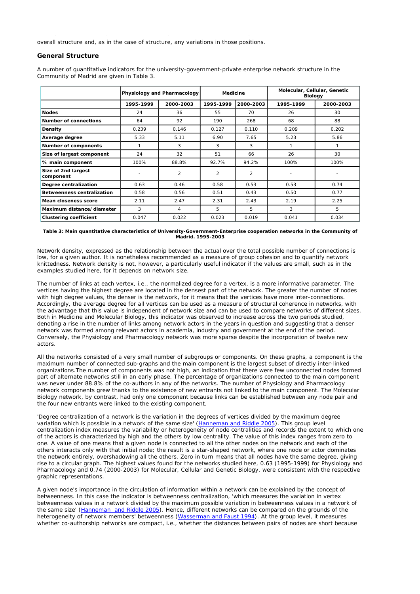overall structure and, as in the case of structure, any variations in those positions.

## **General Structure**

A number of quantitative indicators for the university-government-private enterprise network structure in the Community of Madrid are given in Table 3.

|                                   |           | Physiology and Pharmacology | <b>Medicine</b> |                | Molecular, Cellular, Genetic<br><b>Biology</b> |           |  |  |
|-----------------------------------|-----------|-----------------------------|-----------------|----------------|------------------------------------------------|-----------|--|--|
|                                   | 1995-1999 | 2000-2003                   | 1995-1999       | 2000-2003      | 1995-1999                                      | 2000-2003 |  |  |
| <b>Nodes</b>                      | 24        | 36                          | 55              | 70             | 26                                             | 30        |  |  |
| <b>Number of connections</b>      | 64        | 92                          | 190             | 268            | 68                                             | 88        |  |  |
| Density                           | 0.239     | 0.146                       | 0.127           |                | 0.209                                          | 0.202     |  |  |
| Average degree                    | 5.33      | 5.11                        | 6.90            | 7.65           | 5.23                                           | 5.86      |  |  |
| <b>Number of components</b>       |           | 3                           | 3               | 3              | 1                                              |           |  |  |
| Size of largest component         | 24        | 32                          | 51              | 66             | 26                                             | 30        |  |  |
| % main component                  | 100%      | 88.8%                       | 92.7%           | 94.2%          | 100%                                           | 100%      |  |  |
| Size of 2nd largest<br>component  |           | $\overline{2}$              | $\overline{2}$  | $\overline{2}$ |                                                |           |  |  |
| Degree centralization             | 0.63      | 0.46                        | 0.58            | 0.53           | 0.53                                           | 0.74      |  |  |
| <b>Betweenness centralization</b> | 0.58      | 0.56                        | 0.51            | 0.43           | 0.50                                           | 0.77      |  |  |
| Mean closeness score              | 2.11      | 2.47                        | 2.31            | 2.43           | 2.19                                           | 2.25      |  |  |
| Maximum distance/diameter         | 3         | 4                           | 5               | 5              | 3                                              | 5         |  |  |
| <b>Clustering coefficient</b>     | 0.047     | 0.022                       | 0.023           | 0.019          | 0.041                                          | 0.034     |  |  |

#### **Table 3: Main quantitative characteristics of University-Government-Enterprise cooperation networks in the Community of Madrid. 1995-2003**

Network density, expressed as the relationship between the actual over the total possible number of connections is low, for a given author. It is nonetheless recommended as a measure of group cohesion and to quantify network *knittedness*. Network density is not, however, a particularly useful indicator if the values are small, such as in the examples studied here, for it depends on network size.

The number of links at each vertex, i.e., the normalized degree for a vertex, is a more informative parameter. The vertices having the highest degree are located in the densest part of the network. The greater the number of nodes with high degree values, the denser is the network, for it means that the vertices have more inter-connections. Accordingly, the average degree for all vertices can be used as a measure of structural coherence in networks, with the advantage that this value is independent of network size and can be used to compare networks of different sizes. Both in Medicine and Molecular Biology, this indicator was observed to increase across the two periods studied, denoting a rise in the number of links among network actors in the years in question and suggesting that a denser network was formed among relevant actors in academia, industry and government at the end of the period. Conversely, the Physiology and Pharmacology network was more sparse despite the incorporation of twelve new actors.

All the networks consisted of a very small number of subgroups or components. On these graphs, a component is the maximum number of connected sub-graphs and the main component is the largest subset of directly inter-linked organizations.The number of components was not high, an indication that there were few unconnected nodes formed part of alternate networks still in an early phase. The percentage of organizations connected to the main component was never under 88.8% of the co-authors in any of the networks. The number of Physiology and Pharmacology network components grew thanks to the existence of new entrants not linked to the main component. The Molecular Biology network, by contrast, had only one component because links can be established between any node pair and the four new entrants were linked to the existing component.

'*Degree centralization of a network is the variation in the degrees of vertices divided by the maximum degree variation which is possible in a network of the same size*' (Hanneman and Riddle 2005). This group level *centralization* index measures the variability or heterogeneity of node centralities and records the extent to which one of the actors is characterized by high and the others by low centrality. The value of this index ranges from zero to one. A value of one means that a given node is connected to all the other nodes on the network and each of the others interacts only with that initial node; the result is a star-shaped network, where one node or actor dominates the network entirely, overshadowing all the others. Zero in turn means that all nodes have the same degree, giving rise to a circular graph. The highest values found for the networks studied here, 0.63 (1995-1999) for Physiology and Pharmacology and 0.74 (2000-2003) for Molecular, Cellular and Genetic Biology, were consistent with the respective graphic representations.

A given node's importance in the circulation of information within a network can be explained by the concept of betweenness. In this case the indicator is betweenness centralization, '*which measures the variation in vertex*  betweenness values in a network divided by the maximum possible variation in betweenness values in a network of *the same size*' (Hanneman and Riddle 2005). Hence, different networks can be compared on the grounds of the heterogeneity of network members' betweenness (Wasserman and Faust 1994). At the group level, it measures whether co-authorship networks are *compact*, i.e., whether the distances between pairs of nodes are short because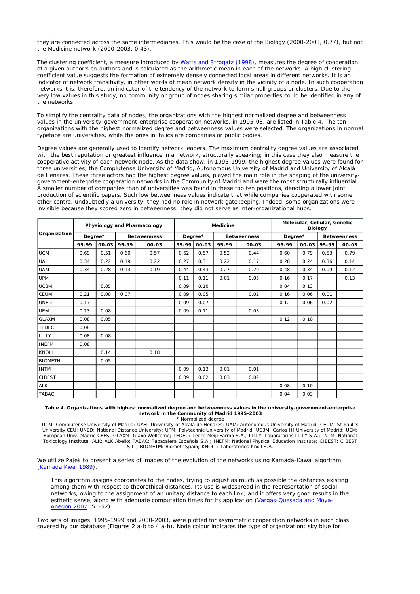they are connected across the same intermediaries. This would be the case of the Biology (2000-2003, 0.77), but not the Medicine network (2000-2003, 0.43).

The clustering coefficient, a measure introduced by Watts and Strogatz (1998), measures the degree of cooperation of a given author's co-authors and is calculated as the arithmetic mean in each of the networks. A high clustering coefficient value suggests the formation of extremely densely connected local areas in different networks. It is an indicator of network transitivity, in other words of mean network density in the vicinity of a node. In such cooperation networks it is, therefore, an indicator of the tendency of the network to form small groups or clusters. Due to the very low values in this study, no community or group of nodes sharing similar properties could be identified in any of the networks.

To simplify the centrality data of nodes, the organizations with the highest normalized degree and betweenness values in the university-government-enterprise cooperation networks, in 1995-03, are listed in Table 4. The ten organizations with the highest normalized degree and betweenness values were selected. The organizations in normal typeface are universities, while the ones in italics are companies or public bodies.

Degree values are generally used to identify network leaders. The maximum centrality degree values are associated with the best reputation or greatest influence in a network, structurally speaking; in this case they also measure the cooperative activity of each network node. As the data show, in 1995-1999, the highest degree values were found for three universities, the Complutense University of Madrid, Autonomous University of Madrid and University of Alcalá de Henares. These three actors had the highest degree values, played the main role in the shaping of the universitygovernment-enterprise cooperation networks in the Community of Madrid and were the most structurally *influential*. A smaller number of companies than of universities was found in these top ten positions, denoting a lower joint production of scientific papers. Such low betweenness values indicate that while companies cooperated with some other centre, undoubtedly a university, they had no role in network gatekeeping. Indeed, some organizations were invisible because they scored zero in betweenness: they did not serve as inter-organizational hubs.

|                |         |       |                    | Physiology and Pharmacology |         |       | <b>Medicine</b>    |       |         | Molecular, Cellular, Genetic | <b>Biology</b>     |       |
|----------------|---------|-------|--------------------|-----------------------------|---------|-------|--------------------|-------|---------|------------------------------|--------------------|-------|
| Organization   | Degree* |       | <b>Betweenness</b> |                             | Degree* |       | <b>Betweenness</b> |       | Degree* |                              | <b>Betweenness</b> |       |
|                | 95-99   | 00-03 | 95-99              | 00-03                       | 95-99   | 00-03 | 95-99              | 00-03 | 95-99   | 00-03                        | 95-99              | 00-03 |
| <b>UCM</b>     | 0.69    | 0.51  | 0.60               | 0.57                        | 0.62    | 0.57  | 0.52               | 0.44  | 0.60    | 0.79                         | 0.53               | 0.79  |
| <b>UAH</b>     | 0.34    | 0.22  | 0.19               | 0.22                        | 0.27    | 0.31  | 0.22               | 0.17  | 0.28    | 0.24                         | 0.36               | 0.14  |
| <b>UAM</b>     | 0.34    | 0.28  | 0.13               | 0.19                        | 0.44    | 0.43  | 0.27               | 0.29  | 0.48    | 0.34                         | 0.09               | 0.12  |
| <b>UPM</b>     |         |       |                    |                             | 0.11    | 0.11  | 0.01               | 0.05  | 0.16    | 0.17                         |                    | 0.13  |
| UC3M           |         | 0.05  |                    |                             | 0.09    | 0.10  |                    |       | 0.04    | 0.13                         |                    |       |
| <b>CEUM</b>    | 0.21    | 0.08  | 0.07               |                             | 0.09    | 0.05  |                    | 0.02  | 0.16    | 0.06                         | 0.01               |       |
| <b>UNED</b>    | 0.17    |       |                    |                             | 0.09    | 0.07  |                    |       | 0.12    | 0.06                         | 0.02               |       |
| <b>UEM</b>     | 0.13    | 0.08  |                    |                             | 0.09    | 0.11  |                    | 0.03  |         |                              |                    |       |
| <b>GLAXM</b>   | 0.08    | 0.05  |                    |                             |         |       |                    |       | 0.12    | 0.10                         |                    |       |
| <b>TEDEC</b>   | 0.08    |       |                    |                             |         |       |                    |       |         |                              |                    |       |
| LILLY          | 0.08    | 0.08  |                    |                             |         |       |                    |       |         |                              |                    |       |
| <b>INEFM</b>   | 0.08    |       |                    |                             |         |       |                    |       |         |                              |                    |       |
| <b>KNOLL</b>   |         | 0.14  |                    | 0.18                        |         |       |                    |       |         |                              |                    |       |
| <b>BIOMETN</b> |         | 0.05  |                    |                             |         |       |                    |       |         |                              |                    |       |
| <b>INTM</b>    |         |       |                    |                             | 0.09    | 0.13  | 0.01               | 0.01  |         |                              |                    |       |
| <b>CIBEST</b>  |         |       |                    |                             | 0.09    | 0.02  | 0.03               | 0.02  |         |                              |                    |       |
| ALK            |         |       |                    |                             |         |       |                    |       | 0.08    | 0.10                         |                    |       |
| TABAC          |         |       |                    |                             |         |       |                    |       | 0.04    | 0.03                         |                    |       |

#### **Table 4. Organizations with highest normalized degree and betweenness values in the university-government-enterprise network in the Community of Madrid 1995-2003** \* Normalized degree

UCM: Complutense University of Madrid; UAH: University of Alcalá de Henares; UAM: Autonomous University of Madrid; CEUM: St Paul 's University CEU; UNED: National Distance University; UPM: Polytechnic University of Madrid; UC3M: Carlos III University of Madrid; UEM: European Univ. Madrid CEES; GLAXM: Glaxo Wellcome; TEDEC: Tedec Meiji Farma S.A.; LILLY: Laboratorios LILLY S.A.; INTM: National<br>Toxicology Institute; ALK: ALK Abello; TABAC: Tabacalera Española S.A.; INEFM: National Physi S.L.; BIOMETM: Biometr Spain; KNOLL: Laboratorios Knoll S.A.

We utilize Pajek to present a series of images of the evolution of the networks using Kamada-Kawai algorithm (Kamada Kwai 1989).

This algorithm assigns coordinates to the nodes, trying to adjust as much as possible the distances existing among them with respect to theorethical distances. Its use is widespread in the representation of social networks, owing to the assignment of an unitary distance to each link; and it offers very good results in the esthetic sense, along with adequate computation times for its application (Vargas-Quesada and Moya-Anegón 2007: 51-52).

Two sets of images, 1995-1999 and 2000-2003, were plotted for asymmetric cooperation networks in each class covered by our database (Figures 2 a-b to 4 a-b). Node colour indicates the type of organization: sky blue for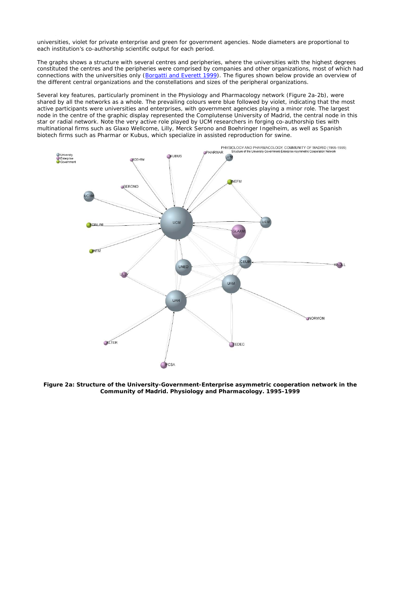universities, violet for private enterprise and green for government agencies. Node diameters are proportional to each institution's co-authorship scientific output for each period.

The graphs shows a structure with several centres and peripheries, where the universities with the highest degrees constituted the centres and the peripheries were comprised by companies and other organizations, most of which had connections with the universities only (Borgatti and Everett 1999). The figures shown below provide an overview of the different central organizations and the constellations and sizes of the peripheral organizations.

Several key features, particularly prominent in the Physiology and Pharmacology network (Figure 2a-2b), were shared by all the networks as a whole. The prevailing colours were blue followed by violet, indicating that the most active participants were universities and enterprises, with government agencies playing a minor role. The largest node in the centre of the graphic display represented the Complutense University of Madrid, the central node in this star or radial network. Note the very active role played by UCM researchers in forging co-authorship ties with multinational firms such as Glaxo Wellcome, Lilly, Merck Serono and Boehringer Ingelheim, as well as Spanish biotech firms such as Pharmar or Kubus, which specialize in assisted reproduction for swine.



**Figure 2a: Structure of the University-Government-Enterprise asymmetric cooperation network in the Community of Madrid. Physiology and Pharmacology. 1995-1999**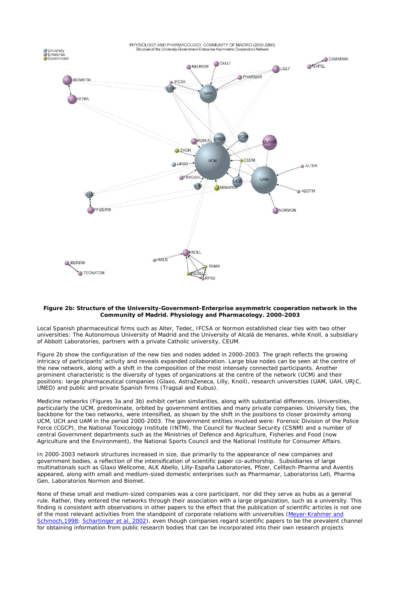

### **Figure 2b: Structure of the University-Government-Enterprise asymmetric cooperation network in the Community of Madrid. Physiology and Pharmacology. 2000-2003**

Local Spanish pharmaceutical firms such as Alter, Tedec, IFCSA or Normon established clear ties with two other universities: The Autonomous University of Madrid and the University of Alcalá de Henares, while Knoll, a subsidiary of Abbott Laboratories, partners with a private Catholic university, CEUM.

Figure 2b show the configuration of the new ties and nodes added in 2000-2003. The graph reflects the growing intricacy of participants' activity and reveals expanded collaboration. Large blue nodes can be seen at the centre of the new network, along with a shift in the composition of the most intensely connected participants. Another prominent characteristic is the diversity of types of organizations at the centre of the network (UCM) and their positions: large pharmaceutical companies (Glaxo, AstraZeneca, Lilly, Knoll), research universities (UAM, UAH, URJC, UNED) and public and private Spanish firms (Tragsal and Kubus).

Medicine networks (Figures 3a and 3b) exhibit certain similarities, along with substantial differences. Universities, particularly the UCM, predominate, orbited by government entities and many private companies. University ties, the backbone for the two networks, were intensified, as shown by the shift in the positions to closer proximity among UCM, UCH and UAM in the period 2000-2003. The government entities involved were: Forensic Division of the Police Force (CGCP), the National Toxicology Institute (INTM), the Council for Nuclear Security (CSNM) and a number of central Government departments such as the Ministries of Defence and Agriculture, Fisheries and Food (now Agriculture and the Environment), the National Sports Council and the National Institute for Consumer Affairs.

In 2000-2003 network structures increased in size, due primarily to the appearance of new companies and government bodies, a reflection of the intensification of scientific paper co-authorship. Subsidiaries of large multinationals such as Glaxo Wellcome, ALK Abello, Lilly-España Laboratories, Pfizer, Celltech-Pharma and Aventis appeared, along with small and medium-sized domestic enterprises such as Pharmamar, Laboratorios Leti, Pharma Gen, Laboratorios Normon and Biomet.

None of these small and medium-sized companies was a core participant, nor did they serve as hubs as a general rule. Rather, they entered the networks through their association with a large organization, such as a university. This finding is consistent with observations in other papers to the effect that the publication of scientific articles is not one of the most relevant activities from the standpoint of corporate relations with universities (Meyer-Krahmer and Schmoch,1998; Schartinger *et al.* 2002), even though companies regard scientific papers to be the prevalent channel for obtaining information from public research bodies that can be incorporated into their own research projects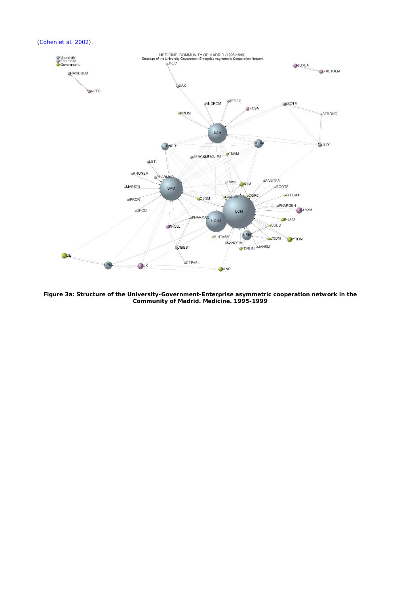

**Figure 3a: Structure of the University-Government-Enterprise asymmetric cooperation network in the Community of Madrid. Medicine. 1995-1999**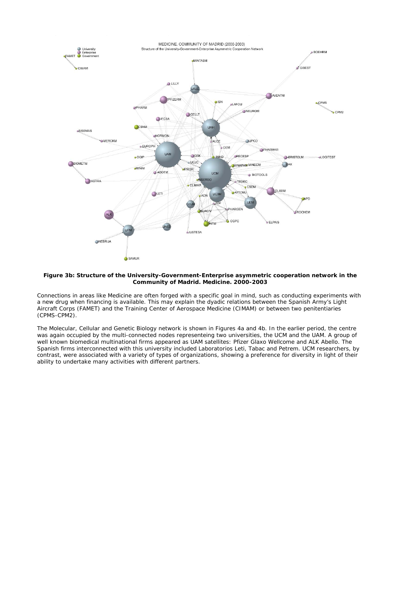

#### **Figure 3b: Structure of the University-Government-Enterprise asymmetric cooperation network in the Community of Madrid. Medicine. 2000-2003**

Connections in areas like Medicine are often forged with a specific goal in mind, such as conducting experiments with a new drug when financing is available. This may explain the dyadic relations between the Spanish Army's Light Aircraft Corps (FAMET) and the Training Center of Aerospace Medicine (CIMAM) or between two penitentiaries (CPMS-CPM2).

The Molecular, Cellular and Genetic Biology network is shown in Figures 4a and 4b. In the earlier period, the centre was again occupied by the multi-connected nodes representeing two universities, the UCM and the UAM. A group of well known biomedical multinational firms appeared as UAM satellites: Pfizer Glaxo Wellcome and ALK Abello. The Spanish firms interconnected with this university included Laboratorios Leti, Tabac and Petrem. UCM researchers, by contrast, were associated with a variety of types of organizations, showing a preference for diversity in light of their ability to undertake many activities with different partners.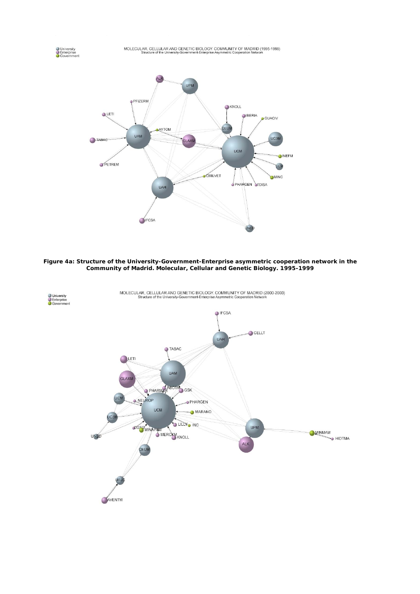O University<br>
C Enterprise<br>
C Government



**Figure 4a: Structure of the University-Government-Enterprise asymmetric cooperation network in the Community of Madrid. Molecular, Cellular and Genetic Biology. 1995-1999**

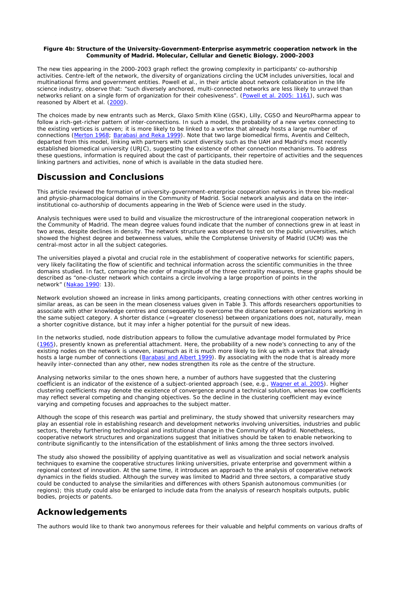### **Figure 4b: Structure of the University-Government-Enterprise asymmetric cooperation network in the Community of Madrid. Molecular, Cellular and Genetic Biology. 2000-2003**

The new ties appearing in the 2000-2003 graph reflect the growing complexity in participants' co-authorship activities. Centre-left of the network, the diversity of organizations circling the UCM includes universities, local and multinational firms and government entities. Powell *et al.*, in their article about network collaboration in the life science industry, observe that: "such diversely anchored, multi-connected networks are less likely to unravel than networks reliant on a single form of organization for their cohesiveness". (Powell *et al.* 2005: 1161), such was reasoned by Albert *et al.* (2000).

The choices made by new entrants such as Merck, Glaxo Smith Kline (GSK), Lilly, CGSO and NeuroPharma appear to follow a rich-get-richer pattern of inter-connections. In such a model, the probability of a new vertex connecting to the existing vertices is uneven; it is more likely to be linked to a vertex that already hosts a large number of connections (Merton 1968; Barabasi and Reka 1999). Note that two large biomedical firms, Aventis and Celltech, departed from this model, linking with partners with scant diversity such as the UAH and Madrid's most recently established biomedical university (URJC), suggesting the existence of other connection mechanisms. To address these questions, information is required about the cast of participants, their repertoire of activities and the sequences linking partners and activities, none of which is available in the data studied here.

# **Discussion and Conclusions**

This article reviewed the formation of university-government-enterprise cooperation networks in three bio-medical and physio-pharmacological domains in the Community of Madrid. Social network analysis and data on the interinstitutional co-authorship of documents appearing in the *Web of Science* were used in the study.

Analysis techniques were used to build and visualize the microstructure of the intraregional cooperation network in the Community of Madrid. The mean degree values found indicate that the number of connections grew in at least in two areas, despite declines in density. The network structure was observed to rest on the public universities, which showed the highest degree and betweenness values, while the Complutense University of Madrid (UCM) was the central-most actor in all the subject categories.

The universities played a pivotal and crucial role in the establishment of cooperative networks for scientific papers, very likely facilitating the flow of scientific and technical information across the scientific communities in the three domains studied. In fact, comparing the order of magnitude of the three centrality measures, these graphs should be described as "one-cluster network which contains a *circle* involving a large proportion of points in the network" (Nakao 1990: 13).

Network evolution showed an increase in links among participants, creating connections with other centres working in similar areas, as can be seen in the mean closeness values given in Table 3. This affords researchers opportunities to associate with other knowledge centres and consequently to overcome *the distance* between organizations working in the same subject category. A shorter distance (=greater closeness) between organizations does not, naturally, mean a shorter cognitive distance, but it may infer a higher potential for the pursuit of new ideas.

In the networks studied, node distribution appears to follow the cumulative advantage model formulated by Price (1965), presently known as preferential attachment. Here, the probability of a new node's connecting to any of the existing nodes on the network is uneven, inasmuch as it is much more likely to link up with a vertex that already hosts a large number of connections (Barabasi and Albert 1999). By associating with the node that is already more heavily inter-connected than any other, new nodes strengthen its role as the centre of the structure.

Analysing networks similar to the ones shown here, a number of authors have suggested that the clustering coefficient is an indicator of the existence of a subject-oriented approach (see, e.g., Wagner *et al.* 2005). Higher clustering coefficients may denote the existence of convergence around a technical solution, whereas low coefficients may reflect several competing and changing objectives. So the decline in the clustering coefficient may evince varying and competing focuses and approaches to the subject matter.

Although the scope of this research was partial and preliminary, the study showed that university researchers may play an essential role in establishing research and development networks involving universities, industries and public sectors, thereby furthering technological and institutional change in the Community of Madrid. Nonetheless, cooperative network structures and organizations suggest that initiatives should be taken to enable networking to contribute significantly to the intensification of the establishment of links among the three sectors involved.

The study also showed the possibility of applying quantitative as well as visualization and social network analysis techniques to examine the cooperative structures linking universities, private enterprise and government within a regional context of innovation. At the same time, it introduces an approach to the analysis of cooperative network dynamics in the fields studied. Although the survey was limited to Madrid and three sectors, a comparative study could be conducted to analyse the similarities and differences with others Spanish autonomous communities (or regions); this study could also be enlarged to include data from the analysis of research hospitals outputs, public bodies, projects or patents.

# **Acknowledgements**

The authors would like to thank two anonymous referees for their valuable and helpful comments on various drafts of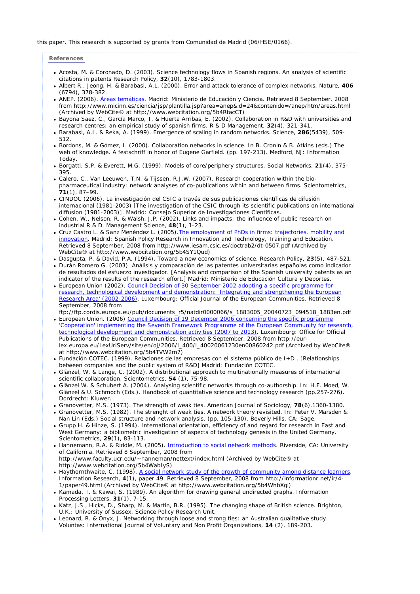### this paper. This research is supported by grants from Comunidad de Madrid (06/HSE/0166).

### **References**

- Acosta, M. & Coronado, D. (2003). Science technology flows in Spanish regions. An analysis of scientific citations in patents *Research Policy,* **32**(10), 1783-1803.
- <sup>z</sup> Albert R., Jeong, H. & Barabasi, A.L. (2000). Error and attack tolerance of complex networks, *Nature*, **406** (6794), 378-382.
- ANEP. (2006). Áreas temáticas. Madrid: Ministerio de Educación y Ciencia. Retrieved 8 September, 2008 from http://www.micinn.es/ciencia/jsp/plantilla.jsp?area=anep&id=24&contenido=/anep/htm/areas.html (Archived by WebCite® at http://www.webcitation.org/5b4RtacCT)
- <sup>z</sup> Bayona Saez, C., García Marco, T. & Huerta Arribas, E. (2002). Collaboration in R&D with universities and research centres: an empirical study of spanish firms. *R & D Management*, **32**(4), 321-341.
- <sup>z</sup> Barabasi, A.L. & Reka, A. (1999). Emergence of scaling in random networks. *Science*, **286**(5439), 509- 512.
- <sup>z</sup> Bordons, M. & Gómez, I. (2000). Collaboration networks in science. In B. Cronin & B. Atkins (eds.) *The web of knowledge. A festschriff in honor of Eugene Garfield*. (pp. 197-213). Medford, NJ: Information Today.
- <sup>z</sup> Borgatti, S.P. & Everett, M.G. (1999). Models of core/periphery structures. *Social Networks*, **21**(4), 375- 395.
- Calero, C., Van Leeuwen, T.N. & Tijssen, R.J.W. (2007). Research cooperation within the biopharmaceutical industry: network analyses of co-publications within and between firms. *Scientometrics*, **71**(1), 87–99.
- <sup>z</sup> CINDOC (2006). *La investigación del CSIC a través de sus publicaciones científicas de difusión internacional (1981-2003)* [The investigation of the CSIC through its scientific publications on international diffusion (1981-2003)]. Madrid: Consejo Superior de Investigaciones Científicas.
- Cohen, W., Nelson, R. & Walsh, J.P. (2002). Links and impacts: the influence of public research on industrial R & D. *Management Science,* **48**(1), 1-23.
- Cruz Castro L. & Sanz Menéndez L. (2005). The employment of PhDs in firms: trajectories, mobility and innovation. Madrid: Spanish Policy Research in Innovation and Technology, Training and Education. Retrieved 8 September, 2008 from http://www.iesam.csic.es/doctrab2/dt-0507.pdf (Archived by WebCite® at http://www.webcitation.org/5b4SY1Qud)
- <sup>z</sup> Dasgupta, P. & David, P.A. (1994). Toward a new economics of science. *Research Policy,* **23**(5), 487-521.
- <sup>z</sup> Durán Romero G. (2003). *Análisis y comparación de las patentes universitarias españolas como indicador de resultados del esfuerzo investigador*. [Analysis and comparison of the Spanish university patents as an indicator of the results of the research effort.] Madrid: Ministerio de Educación Cultura y Deportes.
- European Union (2002). Council Decision of 30 September 2002 adopting a specific programme for research, technological development and demonstration: 'Integrating and strengthening the European Research Area' (2002-2006). Luxembourg: Official Journal of the European Communities. Retrieved 8 September, 2008 from

ftp://ftp.cordis.europa.eu/pub/documents\_r5/natdir0000066/s\_1883005\_20040723\_094518\_1883en.pdf • European Union. (2006) Council Decision of 19 December 2006 concerning the specific programme

- 'Cooperation' implementing the Seventh Framework Programme of the European Community for research, technological development and demonstration activities (2007 to 2013). Luxembourg: Office for Official Publications of the European Communities. Retrieved 8 September, 2008 from http://eurlex.europa.eu/LexUriServ/site/en/oj/2006/l\_400/l\_40020061230en00860242.pdf (Archived by WebCite® at http://www.webcitation.org/5b4TVW2m7)
- <sup>z</sup> Fundación COTEC. (1999). *Relaciones de las empresas con el sistema público de I+D* . [Relationships between companies and the public system of R&D] Madrid: Fundación COTEC.
- Glänzel, W. & Lange, C. (2002). A distributional approach to multinationally measures of international scientific collaboration. *Scientometrics*, **54** (1), 75-98.
- Glänzel W. & Schubert A. (2004). Analysing scientific networks through co-authorship. In: H.F. Moed, W. Glänzel & U. Schmoch (Eds.). *Handbook of quantitative science and technology research* (pp.257-276). Dordrecht: Kluwer.
- <sup>z</sup> Granovetter, M.S. (1973). The strength of weak ties. *American Journal of Sociology*, **78**(6),1360-1380.
- Granovetter, M.S. (1982). The strenght of weak ties. A network theory revisited. In: Peter V. Marsden & Nan Lin (Eds.) *Social structure and network analysis*. (pp. 105-130). Beverly Hills, CA: Sage.
- Grupp H. & Hinze, S. (1994). International orientation, efficiency of and regard for research in East and West Germany: a bibliometric investigation of aspects of technology genesis in the United Germany. *Scientometrics*, **29**(1), 83-113.
- <sup>z</sup> Hannemann, R.A. & Riddle, M. (2005). *Introduction to social network methods*. Riverside, CA: University of California. Retrieved 8 September, 2008 from http://www.faculty.ucr.edu/~hanneman/nettext/index.html (Archived by WebCite® at http://www.webcitation.org/5b4WabIyS)
- Haythornthwaite, C. (1998). A social network study of the growth of community among distance learners. *Information Research*, **4**(1), paper 49. Retrieved 8 September, 2008 from http://informationr.net/ir/4- 1/paper49.html (Archived by WebCite® at http://www.webcitation.org/5b4WhbXgi)
- <sup>z</sup> Kamada, T. & Kawai, S. (1989). An algorithm for drawing general undirected graphs. *Information Processing Letters*, **31**(1), 7-15.
- <sup>z</sup> Katz, J.S., Hicks, D., Sharp, M. & Martin, B.R. (1995). *The changing shape of British science*. Brighton, U.K.: University of Sussex, Science Policy Research Unit.
- Leonard, R. & Onyx, J. Networking through loose and strong ties: an Australian qualitative study. *Voluntas: International Journal of Voluntary and Non Profit Organizations*, **14** (2), 189-203.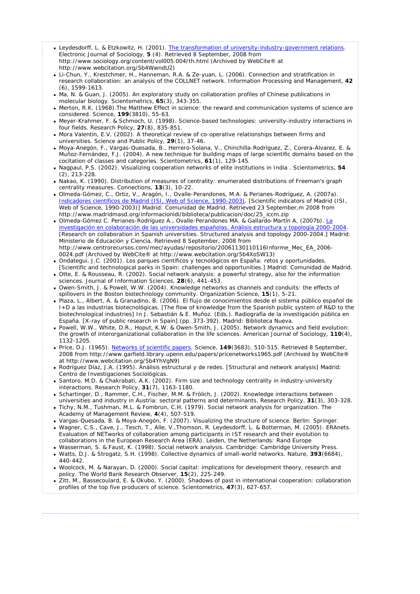- Leydesdorff, L. & Etzkowitz, H. (2001). The transformation of university-industry-government relations. *Electronic Journal of Sociology,* **5** (4). Retrieved 8 September, 2008 from http://www.sociology.org/content/vol005.004/th.html (Archived by WebCite® at http://www.webcitation.org/5b4WwndU2)
- <sup>z</sup> Li-Chun, Y., Krestchmer, H., Hanneman, R.A. & Ze-yuan, L. (2006). Connection and stratification in research collaboration: an analysis of the COLLNET network. *Information Processing and Management*, **42** (6), 1599-1613.
- Ma, N. & Guan, J. (2005). An exploratory study on collaboration profiles of Chinese publications in molecular biology. *Scientometrics*, **65**(3), 343-355.
- Merton, R.K. (1968). The Matthew Effect in science: the reward and communication systems of science are considered. *Science*, **199**(3810), 55-63.
- <sup>z</sup> Meyer-Krahmer, F. & Schmoch, U. (1998). Science-based technologies: university-industry interactions in four fields. *Research Policy,* **27**(8), 835-851.
- Mora Valentín, E.V. (2002). A theoretical review of co-operative relationships between firms and universities. *Science and Public Policy*, **29**(1), 37-46.
- <sup>z</sup> Moya-Anegón, F., Vargas-Quesada, B., Herrero-Solana, V., Chinchilla-Rodríguez, Z., Corera-Álvarez, E. & Muñoz-Fernández, F.J. (2004). A new technique for building maps of large scientific domains based on the cocitation of classes and categories. *Scientometrics*, **61**(1), 129-145.
- <sup>z</sup> Nagpaul, P.S. (2002). Visualizing cooperation networks of elite institutions in India . *Scientometrics*, **54** (2), 213-228.
- Nakao, K. (1990). Distribution of measures of centrality: enumerated distributions of Freeman's graph centrality measures. *Connections*, **13**(3), 10-22.
- <sup>z</sup> Olmeda-Gómez, C., Ortiz, V., Aragón, I., Ovalle-Perandones, M.A. & Perianes-Rodríguez, A. (2007a). *Indicadores científicos de Madrid (ISI, Web of Science, 1990-2003). [Scientific indicators of Madrid (ISI, Web of Science, 1990-2003)]* Madrid: Comunidad de Madrid. Retrieved 23 September,m 2008 from http://www.madridmasd.org/informacionidi/biblioteca/publicacion/doc/25\_iccm.zip
- <sup>z</sup> Olmeda-Gómez C. Perianes-Rodríguez A., Ovalle-Perandones MA. & Gallardo-Martín A, (2007b). *La investigación en colaboración de las universidades españolas. Análisis estructura y topología 2000-2004*. [Research on collaboration in Spanish universities. Structured analysis and topology 2000-2004.] Madrid: Ministerio de Educación y Ciencia. Retrieved 8 September, 2008 from http://www.centrorecursos.com/mec/ayudas/repositorio/20061130110116Informe\_Mec\_EA\_2006-0024.pdf (Archived by WebCite® at http://www.webcitation.org/5b4XoSW13)
- <sup>z</sup> Ondategui, J.C. (2001). *Los parques científicos y tecnológicos en España: retos y oportunidades*. [Scientific and technological parks in Spain: challenges and opportunities.] Madrid: Comunidad de Madrid.
- Otte, E. & Rousseau, R. (2002). Social network analysis: a powerful strategy, also for the information sciences. *Journal of Information Sciences*, **28**(6), 441-453.
- Owen-Smith, J. & Powell, W.W. (2004). Knowledge networks as channels and conduits: the effects of spillovers in the Boston biotechnology community. *Organization Science*, **15**(1), 5-21.
- <sup>z</sup> Plaza, L., Albert, A. & Granadino, B. (2006). El flujo de conocimientos desde el sistema público español de I+D a las industrias biotecnológicas. [The flow of knowledge from the Spanish public system of R&D to the biotechnological industries] In J. Sebastián & E. Muñoz. (Eds.). *Radiografía de la investigación pública en España*. [X-ray of public research in Spain] (pp. 373-392). Madrid: Biblioteca Nueva.
- Powell, W.W., White, D.R., Hoput, K.W. & Owen-Smith, J. (2005). Network dynamics and field evolution: the growth of interorganizational collaboration in the life sciences. *American Journal of Sociology,* **110**(4), 1132-1205.
- <sup>z</sup> Price, D.J. (1965). Networks of scientific papers. *Science*, **149**(3683), 510-515. Retrieved 8 September, 2008 from http://www.garfield.library.upenn.edu/papers/pricenetworks1965.pdf (Archived by WebCite® at http://www.webcitation.org/5b4YhVgN9)
- <sup>z</sup> Rodríguez Díaz, J.A. (1995). *Análisis estructural y de redes*. [Structural and network analysis] Madrid: Centro de Investigaciones Sociológicas.
- Santoro, M.D. & Chakrabati, A.K. (2002). Firm size and technology centrality in industry-university interactions. *Research Policy*, **31**(7), 1163-1180.
- Schartinger, D., Rammer, C.H., Fischer, M.M. & Frölich, J. (2002). Knowledge interactions between universities and industry in Austria: sectoral patterns and determinants. *Research Policy*, **31**(3), 303-328.
- <sup>z</sup> Tichy, N.M., Tushman, M.L. & Fombrun, C.H. (1979). Social network analysis for organization. *The Academy of Management Review*, **4**(4), 507-519.
- <sup>z</sup> Vargas-Quesada, B. & Moya-Anegón, F. (2007). *Visualizing the structure of science*. Berlin: Springer. <sup>z</sup> Wagner, C.S., Cave, J., Tesch, T., Alle, V.,Thomson, R. Leydesdorff, L. & Botterman, M. (2005). *ERAnets.*
- *Evaluation of NETworks of collaboration among participants in IST research and their evolution to collaborations in the European Research Area (ERA)*. Leiden, the Netherlands: Rand Europe
- <sup>z</sup> Wasserman, S. & Faust, K. (1998). *Social network analysis*. Cambridge: Cambridge University Press. <sup>z</sup> Watts, D.J. & Strogatz, S.H. (1998). Collective dynamics of small-world networks. *Nature,* **393**(6684),
- 440-442. • Woolcock, M. & Narayan, D. (2000). Social capital: implications for development theory, research and
- policy. *The World Bank Research Observer*, **15**(2), 225-249.
- Zitt, M., Bassecoulard, E. & Okubo, Y. (2000). Shadows of past in international cooperation: collaboration profiles of the top five producers of science. *Scientometrics*, **47**(3), 627-657.